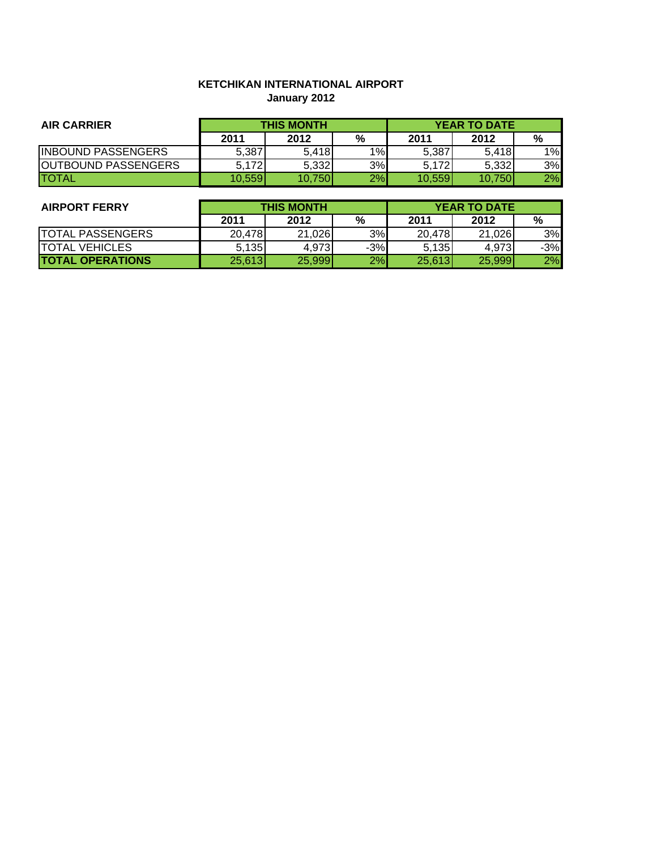# **KETCHIKAN INTERNATIONAL AIRPORT January 2012**

| <b>AIR CARRIER</b>         | <b>THIS MONTH</b> |        |    | <b>YEAR TO DATE</b> |        |    |
|----------------------------|-------------------|--------|----|---------------------|--------|----|
|                            | 2011              | 2012   | %  | 2011                | 2012   | %  |
| <b>INBOUND PASSENGERS</b>  | 5,387             | 5,418  | 1% | 5,387               | 5,418  | 1% |
| <b>OUTBOUND PASSENGERS</b> | 5.172             | 5,332  | 3% | 5,172               | 5,332  | 3% |
| <b>ITOTAL</b>              | 10.559            | 10.750 | 2% | 10.559              | 10.750 | 2% |

| <b>AIRPORT FERRY</b>    | <b>THIS MONTH</b> |        |       | <b>YEAR TO DATE</b> |        |       |
|-------------------------|-------------------|--------|-------|---------------------|--------|-------|
|                         | 2011              | 2012   | %     | 2011                | 2012   | %     |
| <b>TOTAL PASSENGERS</b> | 20,478            | 21,026 | 3%    | 20.478              | 21.026 | 3%    |
| <b>ITOTAL VEHICLES</b>  | 5.135             | 4,973  | $-3%$ | 5,135               | 4.973  | $-3%$ |
| <b>TOTAL OPERATIONS</b> | 25,613            | 25,999 | 2%    | 25,613              | 25,999 | 2%    |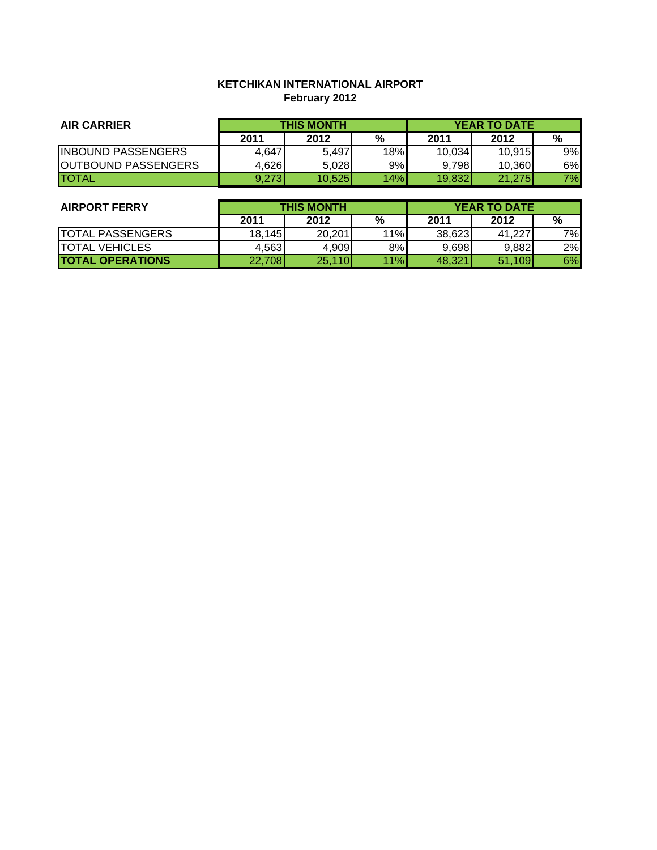# **KETCHIKAN INTERNATIONAL AIRPORT February 2012**

| <b>AIR CARRIER</b>         | <b>THIS MONTH</b> |        |     | <b>YEAR TO DATE</b> |        |    |
|----------------------------|-------------------|--------|-----|---------------------|--------|----|
|                            | 2011              | 2012   | %   | 2011                | 2012   | %  |
| <b>INBOUND PASSENGERS</b>  | 4,647             | 5.497  | 18% | 10,034              | 10,915 | 9% |
| <b>OUTBOUND PASSENGERS</b> | 4,626             | 5,028  | 9%  | 9.798               | 10,360 | 6% |
| <b>ITOTAL</b>              | 9.273             | 10,525 | 14% | 19,832              | 21,275 | 7% |

| <b>AIRPORT FERRY</b>    | <b>THIS MONTH</b> |        |     | <b>YEAR TO DATE</b> |        |    |
|-------------------------|-------------------|--------|-----|---------------------|--------|----|
|                         | 2011              | 2012   | %   | 2011                | 2012   | %  |
| <b>TOTAL PASSENGERS</b> | 18,145            | 20.201 | 11% | 38,623              | 41.227 | 7% |
| <b>TOTAL VEHICLES</b>   | 4,563             | 4,909  | 8%  | 9,698               | 9,882  | 2% |
| <b>TOTAL OPERATIONS</b> | 22,708            | 25,110 | 11% | 48.321              | 51,109 | 6% |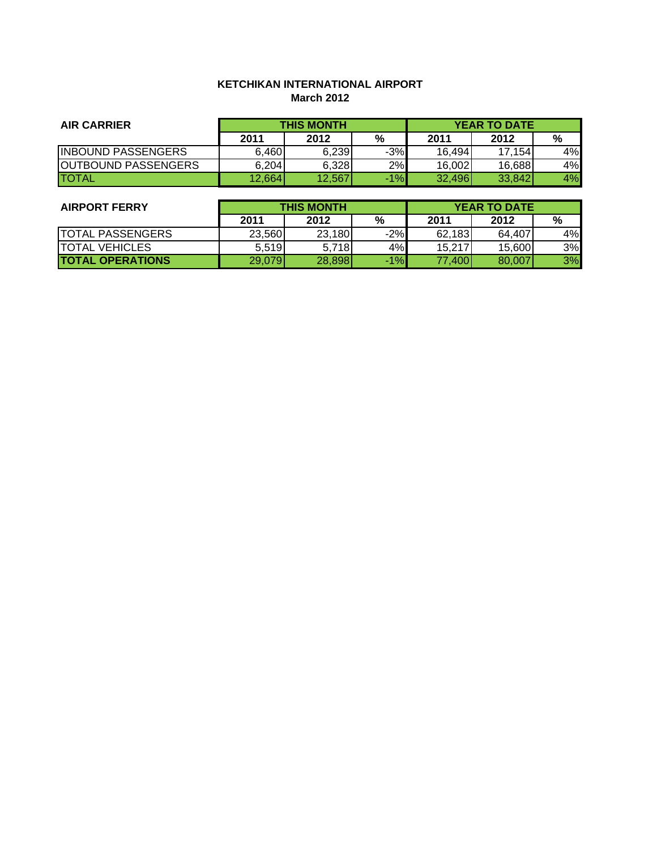# **KETCHIKAN INTERNATIONAL AIRPORT March 2012**

| <b>AIR CARRIER</b>         | <b>THIS MONTH</b> |        |       | <b>YEAR TO DATE</b> |        |    |
|----------------------------|-------------------|--------|-------|---------------------|--------|----|
|                            | 2011              | 2012   | %     | 2011                | 2012   | %  |
| <b>INBOUND PASSENGERS</b>  | 6.460             | 6.239  | $-3%$ | 16,494              | 17.154 | 4% |
| <b>OUTBOUND PASSENGERS</b> | 6,204             | 6,328  | 2%    | 16,002              | 16,688 | 4% |
| <b>ITOTAL</b>              | 12,664            | 12,567 | $-1%$ | 32,496              | 33,842 | 4% |

| <b>AIRPORT FERRY</b>    | <b>THIS MONTH</b> |        |       | <b>YEAR TO DATE</b> |        |    |
|-------------------------|-------------------|--------|-------|---------------------|--------|----|
|                         | 2011              | 2012   | %     | 2011                | 2012   | %  |
| <b>TOTAL PASSENGERS</b> | 23,560            | 23,180 | $-2%$ | 62,183              | 64,407 | 4% |
| <b>TOTAL VEHICLES</b>   | 5,519             | 5,718  | 4%    | 15,217              | 15,600 | 3% |
| <b>TOTAL OPERATIONS</b> | 29,079            | 28,898 | $-1%$ | 77,400              | 80,007 | 3% |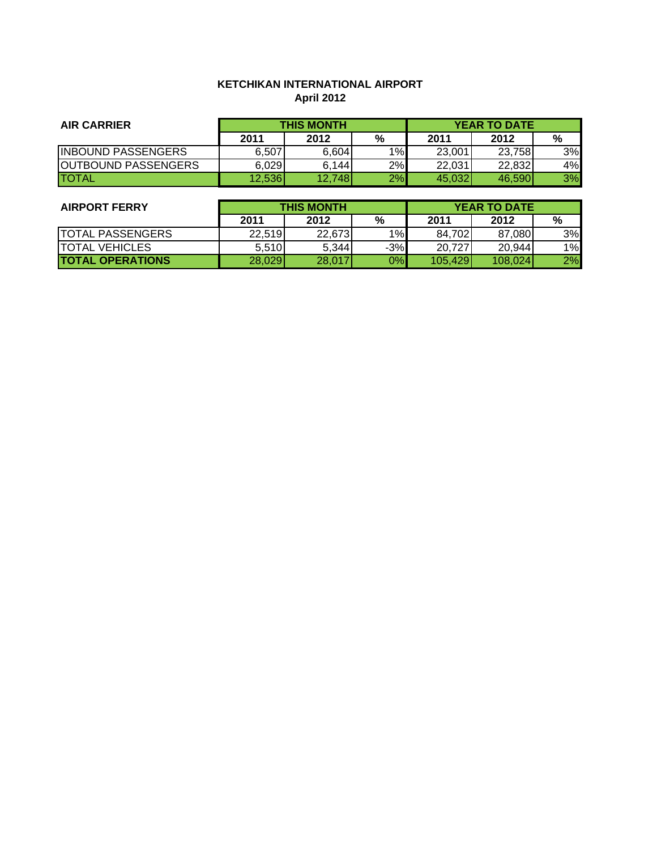# **KETCHIKAN INTERNATIONAL AIRPORT April 2012**

| <b>AIR CARRIER</b>         | <b>THIS MONTH</b> |        |    | <b>YEAR TO DATE</b> |        |    |
|----------------------------|-------------------|--------|----|---------------------|--------|----|
|                            | 2011              | 2012   | %  | 2011                | 2012   | %  |
| <b>INBOUND PASSENGERS</b>  | 6,507             | 6,604  | 1% | 23,001              | 23,758 | 3% |
| <b>OUTBOUND PASSENGERS</b> | 6,029             | 6,144  | 2% | 22,031              | 22,832 | 4% |
| <b>ITOTAL</b>              | 12,536            | 12,748 | 2% | 45,032              | 46.590 | 3% |

| <b>AIRPORT FERRY</b>    | <b>THIS MONTH</b> |        |       | <b>YEAR TO DATE</b> |         |    |
|-------------------------|-------------------|--------|-------|---------------------|---------|----|
|                         | 2011              | 2012   | %     | 2011                | 2012    | %  |
| <b>TOTAL PASSENGERS</b> | 22,519            | 22.673 | 1%    | 84,702              | 87,080  | 3% |
| <b>TOTAL VEHICLES</b>   | 5.510             | 5,344  | $-3%$ | 20,727              | 20,944  | 1% |
| <b>TOTAL OPERATIONS</b> | 28,029            | 28,017 | 0%    | 105,429             | 108.024 | 2% |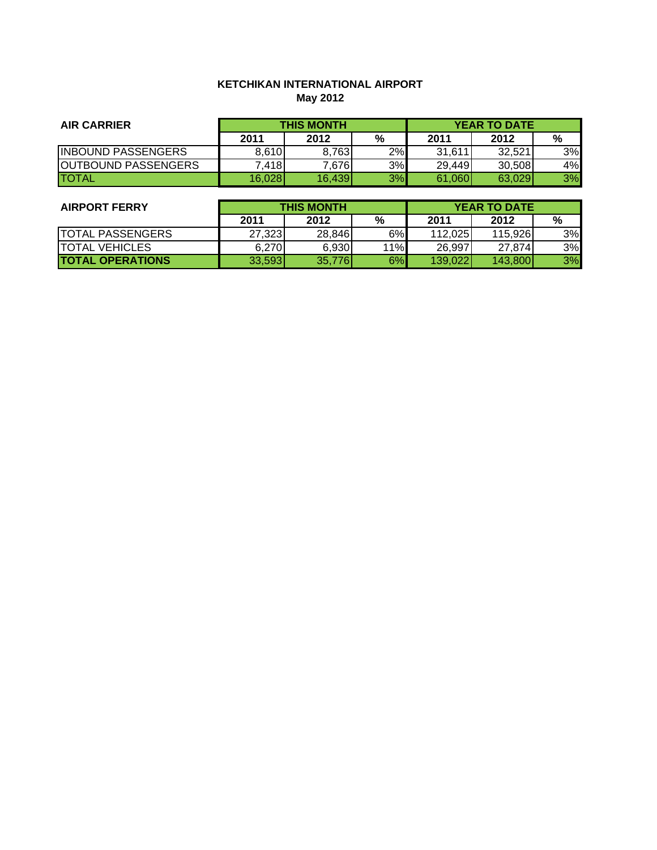# **KETCHIKAN INTERNATIONAL AIRPORT May 2012**

| <b>AIR CARRIER</b>         | <b>THIS MONTH</b> |        |    | <b>YEAR TO DATE</b> |        |    |
|----------------------------|-------------------|--------|----|---------------------|--------|----|
|                            | 2011              | 2012   | %  | 2011                | 2012   | %  |
| <b>INBOUND PASSENGERS</b>  | 8.610             | 8,763  | 2% | 31,611              | 32,521 | 3% |
| <b>OUTBOUND PASSENGERS</b> | 7,418             | 7,676  | 3% | 29,449              | 30,508 | 4% |
| <b>ITOTAL</b>              | 16,028            | 16,439 | 3% | 61,060              | 63,029 | 3% |

| <b>AIRPORT FERRY</b>    | <b>THIS MONTH</b> |        |     | <b>YEAR TO DATE</b> |         |    |
|-------------------------|-------------------|--------|-----|---------------------|---------|----|
|                         | 2011              | 2012   | %   | 2011                | 2012    | %  |
| <b>TOTAL PASSENGERS</b> | 27,323            | 28,846 | 6%  | 112,025             | 115,926 | 3% |
| ITOTAL VEHICLES         | 6,270             | 6,930  | 11% | 26,997              | 27,874  | 3% |
| <b>TOTAL OPERATIONS</b> | 33,593            | 35,776 | 6%  | 139,022             | 143,800 | 3% |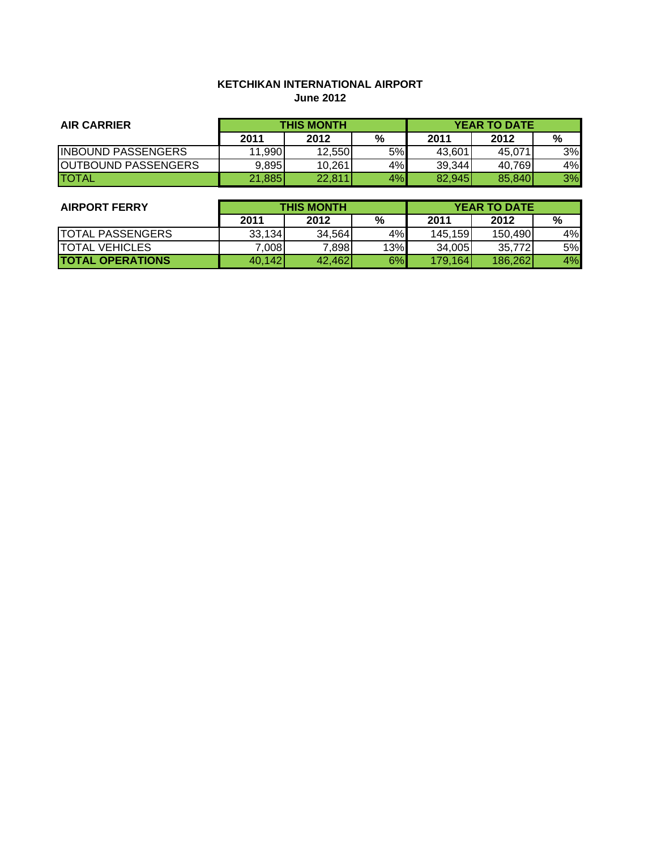# **KETCHIKAN INTERNATIONAL AIRPORT June 2012**

| <b>AIR CARRIER</b>          | <b>THIS MONTH</b> |        |    | <b>YEAR TO DATE</b> |        |    |
|-----------------------------|-------------------|--------|----|---------------------|--------|----|
|                             | 2011              | 2012   | %  | 2011                | 2012   | %  |
| <b>INBOUND PASSENGERS</b>   | 11,990            | 12.550 | 5% | 43.601              | 45.071 | 3% |
| <b>JOUTBOUND PASSENGERS</b> | 9,895             | 10,261 | 4% | 39,344              | 40,769 | 4% |
| <b>ITOTAL</b>               | 21,885            | 22.811 | 4% | 82,945              | 85,840 | 3% |

| <b>AIRPORT FERRY</b>    | <b>THIS MONTH</b> |        |     | <b>YEAR TO DATE</b> |         |    |
|-------------------------|-------------------|--------|-----|---------------------|---------|----|
|                         | 2011              | 2012   | %   | 2011                | 2012    | %  |
| <b>TOTAL PASSENGERS</b> | 33,134            | 34.564 | 4%  | 145,159             | 150,490 | 4% |
| <b>TOTAL VEHICLES</b>   | 7,008             | 7,898  | 13% | 34,005              | 35,772  | 5% |
| <b>TOTAL OPERATIONS</b> | 40,142            | 42.462 | 6%  | 179,164             | 186,262 | 4% |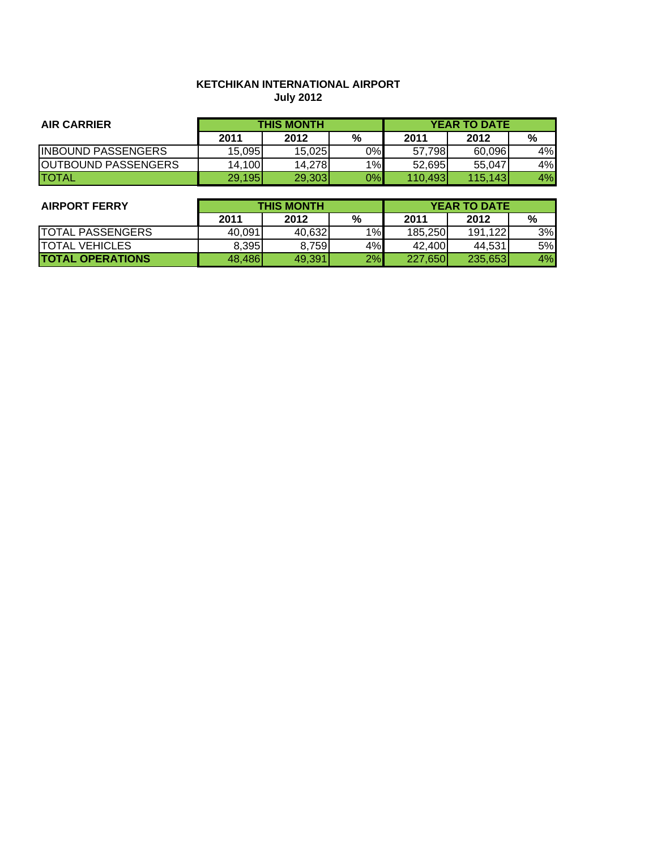# **KETCHIKAN INTERNATIONAL AIRPORT July 2012**

| <b>AIR CARRIER</b>         | <b>THIS MONTH</b> |        |       | <b>YEAR TO DATE</b> |         |    |
|----------------------------|-------------------|--------|-------|---------------------|---------|----|
|                            | 2011              | 2012   | %     | 2011                | 2012    | %  |
| <b>IINBOUND PASSENGERS</b> | 15.095            | 15.025 | 0%    | 57.798              | 60.096  | 4% |
| <b>OUTBOUND PASSENGERS</b> | 14,100            | 14.278 | $1\%$ | 52.695              | 55.047  | 4% |
| <b>TOTAL</b>               | 29,195            | 29,303 | 0%    | 110.493             | 115,143 | 4% |

| <b>AIRPORT FERRY</b>     | <b>THIS MONTH</b> |        |      | <b>YEAR TO DATE</b> |         |    |
|--------------------------|-------------------|--------|------|---------------------|---------|----|
|                          | 2011              | 2012   | $\%$ | 2011                | 2012    | %  |
| <b>ITOTAL PASSENGERS</b> | 40.091            | 40.632 | 1%   | 185.250             | 191,122 | 3% |
| <b>ITOTAL VEHICLES</b>   | 8.395             | 8,759  | 4%   | 42.400              | 44.531  | 5% |
| <b>TOTAL OPERATIONS</b>  | 48.486            | 49,391 | 2%   | 227.650             | 235,653 | 4% |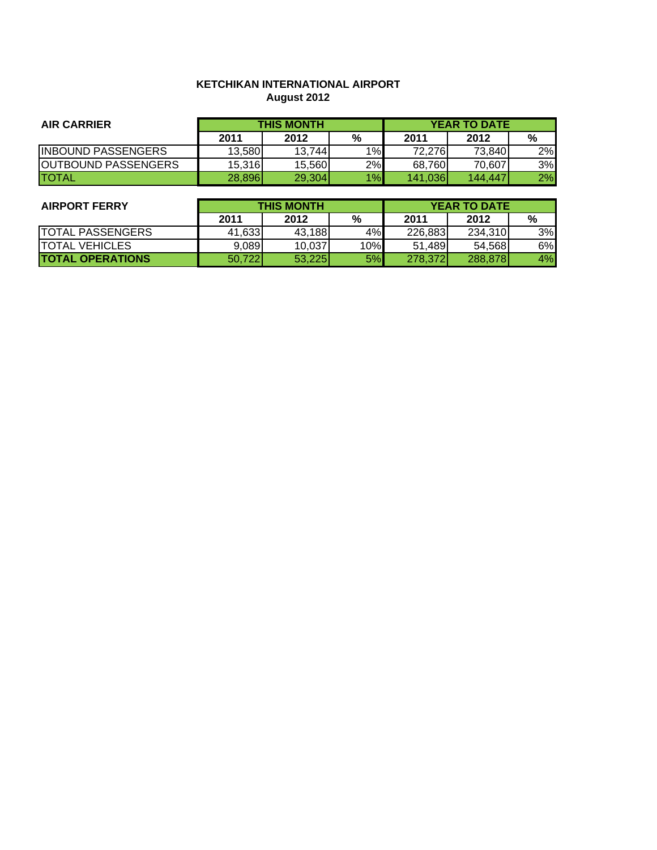# **KETCHIKAN INTERNATIONAL AIRPORT August 2012**

| <b>AIR CARRIER</b>         | <b>THIS MONTH</b> |        |    |         | <b>YEAR TO DATE</b> |    |
|----------------------------|-------------------|--------|----|---------|---------------------|----|
|                            | 2011              | 2012   | %  | 2011    | 2012                | %  |
| <b>INBOUND PASSENGERS</b>  | 13.580            | 13.744 | 1% | 72.2761 | 73.840              | 2% |
| <b>OUTBOUND PASSENGERS</b> | 15.316            | 15.560 | 2% | 68,760  | 70.607              | 3% |
| <b>ITOTAL</b>              | 28,896            | 29,304 | 1% | 141,036 | 144,447             | 2% |

| <b>AIRPORT FERRY</b>    | <b>THIS MONTH</b> |        |     | <b>YEAR TO DATE</b> |         |    |
|-------------------------|-------------------|--------|-----|---------------------|---------|----|
|                         | 2011              | 2012   | %   | 2011                | 2012    | %  |
| <b>TOTAL PASSENGERS</b> | 41.633            | 43,188 | 4%  | 226,883             | 234.310 | 3% |
| <b>ITOTAL VEHICLES</b>  | 9.089             | 10.037 | 10% | 51.489              | 54.568  | 6% |
| <b>TOTAL OPERATIONS</b> | 50,722            | 53,225 | 5%  | 278,372             | 288,878 | 4% |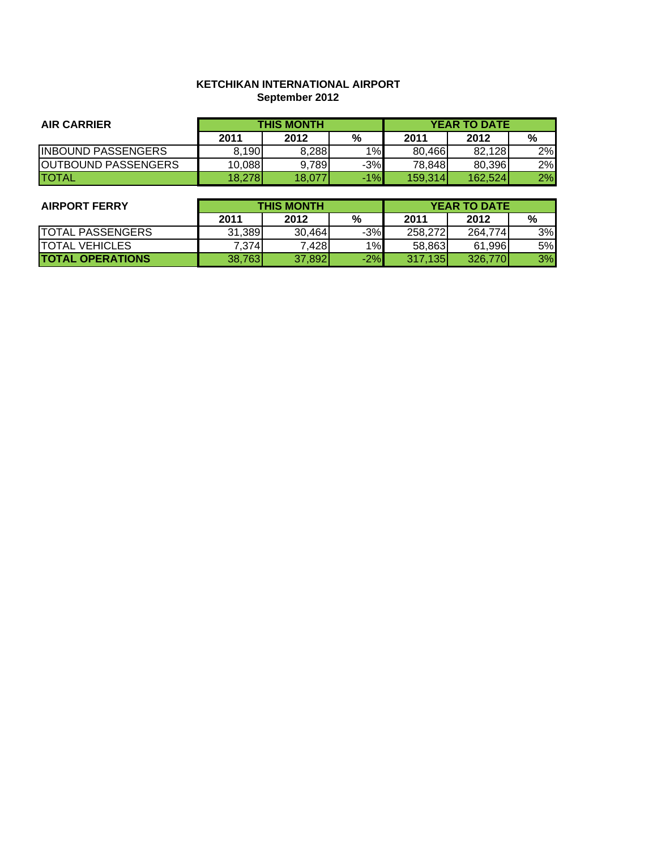### **KETCHIKAN INTERNATIONAL AIRPORT September 2012**

| <b>AIR CARRIER</b>         | <b>THIS MONTH</b> |        |       | <b>YEAR TO DATE</b> |         |    |
|----------------------------|-------------------|--------|-------|---------------------|---------|----|
|                            | 2011              | 2012   | %     | 2011                | 2012    | %  |
| <b>INBOUND PASSENGERS</b>  | 8.190             | 8.288  | 1%    | 80.466              | 82,128  | 2% |
| <b>OUTBOUND PASSENGERS</b> | 10,088            | 9.789  | $-3%$ | 78.848              | 80.396  | 2% |
| <b>ITOTAL</b>              | 18.278            | 18,077 | $-1%$ | 159,314             | 162.524 | 2% |

| <b>AIRPORT FERRY</b>    | <b>THIS MONTH</b> |        |       | <b>YEAR TO DATE</b> |         |    |
|-------------------------|-------------------|--------|-------|---------------------|---------|----|
|                         | 2011              | 2012   | %     | 2011                | 2012    | %  |
| <b>TOTAL PASSENGERS</b> | 31.389            | 30.464 | $-3%$ | 258,272             | 264.774 | 3% |
| <b>ITOTAL VEHICLES</b>  | 7.374             | 7,428  | 1%    | 58,863              | 61.996  | 5% |
| <b>TOTAL OPERATIONS</b> | 38.763            | 37,892 | $-2%$ | 317.135             | 326,770 | 3% |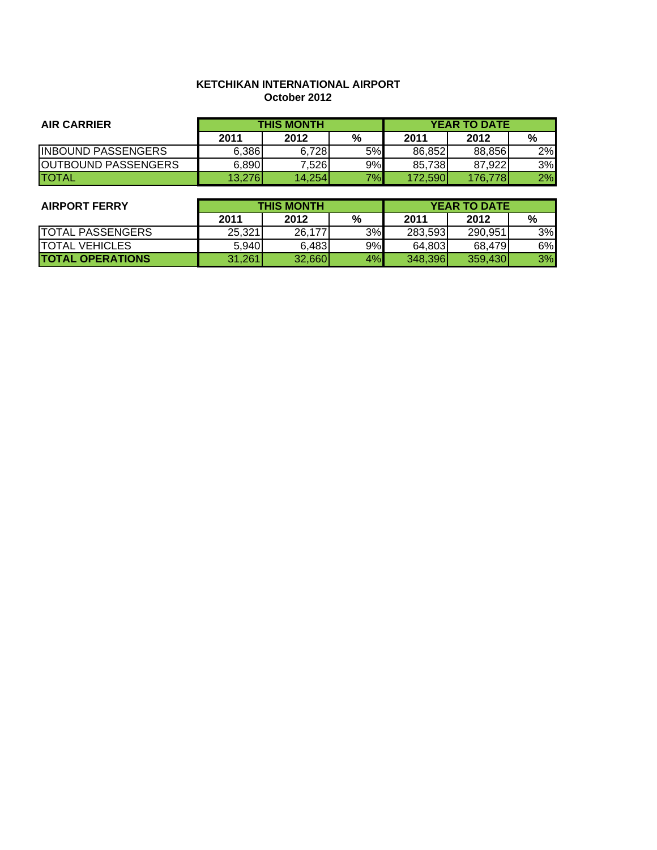#### **KETCHIKAN INTERNATIONAL AIRPORT October 2012**

| <b>AIR CARRIER</b>         | <b>THIS MONTH</b> |        |    | <b>YEAR TO DATE</b> |         |    |
|----------------------------|-------------------|--------|----|---------------------|---------|----|
|                            | 2011              | 2012   | %  | 2011                | 2012    | %  |
| <b>INBOUND PASSENGERS</b>  | 6.386             | 6.728  | 5% | 86.852              | 88.856  | 2% |
| <b>OUTBOUND PASSENGERS</b> | 6,890             | 7.526  | 9% | 85.738              | 87.922  | 3% |
| <b>ITOTAL</b>              | 13.276            | 14,254 | 7% | 172.5901            | 176.778 | 2% |

| <b>AIRPORT FERRY</b>    | <b>THIS MONTH</b> |        |    | <b>YEAR TO DATE</b> |         |    |
|-------------------------|-------------------|--------|----|---------------------|---------|----|
|                         | 2011              | 2012   | %  | 2011                | 2012    | %  |
| <b>TOTAL PASSENGERS</b> | 25.321            | 26,177 | 3% | 283.593             | 290.951 | 3% |
| <b>ITOTAL VEHICLES</b>  | 5.940             | 6,483  | 9% | 64,803              | 68.479  | 6% |
| <b>TOTAL OPERATIONS</b> | 31,261            | 32.660 | 4% | 348,396             | 359,430 | 3% |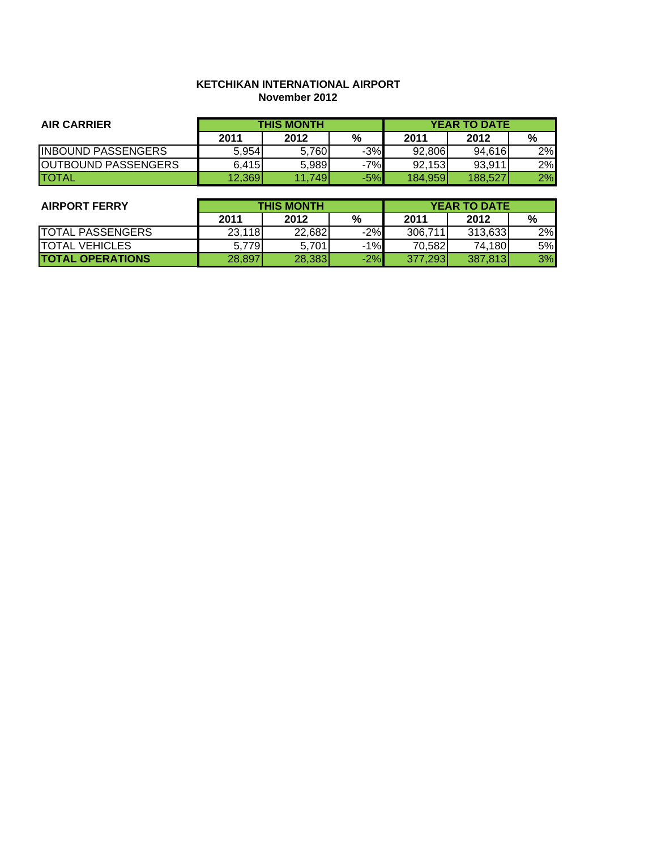#### **KETCHIKAN INTERNATIONAL AIRPORT November 2012**

| <b>AIR CARRIER</b>         | <b>THIS MONTH</b> |        |       | <b>YEAR TO DATE</b> |         |    |
|----------------------------|-------------------|--------|-------|---------------------|---------|----|
|                            | 2011              | 2012   | %     | 2011                | 2012    | %  |
| <b>IINBOUND PASSENGERS</b> | 5.954             | 5.760  | $-3%$ | 92.806              | 94.616  | 2% |
| <b>OUTBOUND PASSENGERS</b> | 6.415             | 5.989  | $-7%$ | 92.153              | 93.911  | 2% |
| <b>TOTAL</b>               | 12,369            | 11.749 | $-5%$ | 184.959l            | 188,527 | 2% |

| <b>AIRPORT FERRY</b>    | <b>THIS MONTH</b> |        |       | <b>YEAR TO DATE</b> |         |    |
|-------------------------|-------------------|--------|-------|---------------------|---------|----|
|                         | 2011              | 2012   | %     | 2011                | 2012    | %  |
| <b>TOTAL PASSENGERS</b> | 23,118            | 22.682 | $-2%$ | 306,711             | 313,633 | 2% |
| <b>ITOTAL VEHICLES</b>  | 5.779             | 5.701  | $-1%$ | 70.582              | 74,180  | 5% |
| <b>TOTAL OPERATIONS</b> | 28,897            | 28,383 | $-2%$ | 377.293             | 387.813 | 3% |